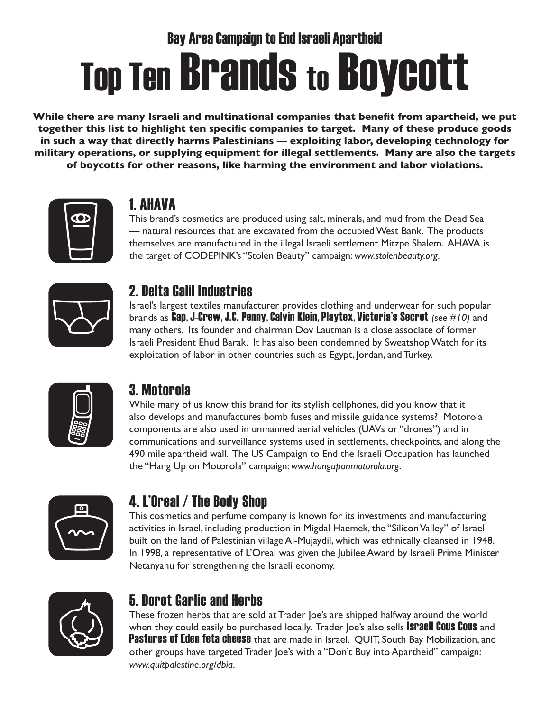# Bay Area Campaign to End Israeli Apartheid **Top Ten Brands to Boycott**

**While there are many Israeli and multinational companies that benefit from apartheid, we put together this list to highlight ten specific companies to target. Many of these produce goods in such a way that directly harms Palestinians — exploiting labor, developing technology for military operations, or supplying equipment for illegal settlements. Many are also the targets of boycotts for other reasons, like harming the environment and labor violations.**



# 1. AHAVA

This brand's cosmetics are produced using salt, minerals, and mud from the Dead Sea — natural resources that are excavated from the occupied West Bank. The products themselves are manufactured in the illegal Israeli settlement Mitzpe Shalem. AHAVA is the target of CODEPINK's "Stolen Beauty" campaign: *www.stolenbeauty.org*.



#### 2. Delta Galil Industries

Israel's largest textiles manufacturer provides clothing and underwear for such popular brands as Gap, J-Crew, J.C. Penny, Calvin Klein, Playtex, Victoria's Secret *(see #10)* and many others. Its founder and chairman Dov Lautman is a close associate of former Israeli President Ehud Barak. It has also been condemned by Sweatshop Watch for its exploitation of labor in other countries such as Egypt, Jordan, and Turkey.



# 3. Motorola

While many of us know this brand for its stylish cellphones, did you know that it also develops and manufactures bomb fuses and missile guidance systems? Motorola components are also used in unmanned aerial vehicles (UAVs or "drones") and in communications and surveillance systems used in settlements, checkpoints, and along the 490 mile apartheid wall. The US Campaign to End the Israeli Occupation has launched the "Hang Up on Motorola" campaign: *www.hanguponmotorola.org*.



# 4. L'Oreal / The Body Shop

This cosmetics and perfume company is known for its investments and manufacturing activities in Israel, including production in Migdal Haemek, the "Silicon Valley" of Israel built on the land of Palestinian village Al-Mujaydil, which was ethnically cleansed in 1948. In 1998, a representative of L'Oreal was given the Jubilee Award by Israeli Prime Minister Netanyahu for strengthening the Israeli economy.



# 5. Dorot Garlic and Herbs

These frozen herbs that are sold at Trader Joe's are shipped halfway around the world when they could easily be purchased locally. Trader Joe's also sells **Israeli Cous Cous** and **Pastures of Eden feta cheese** that are made in Israel. QUIT, South Bay Mobilization, and other groups have targeted Trader Joe's with a "Don't Buy into Apartheid" campaign: *www.quitpalestine.org/dbia*.